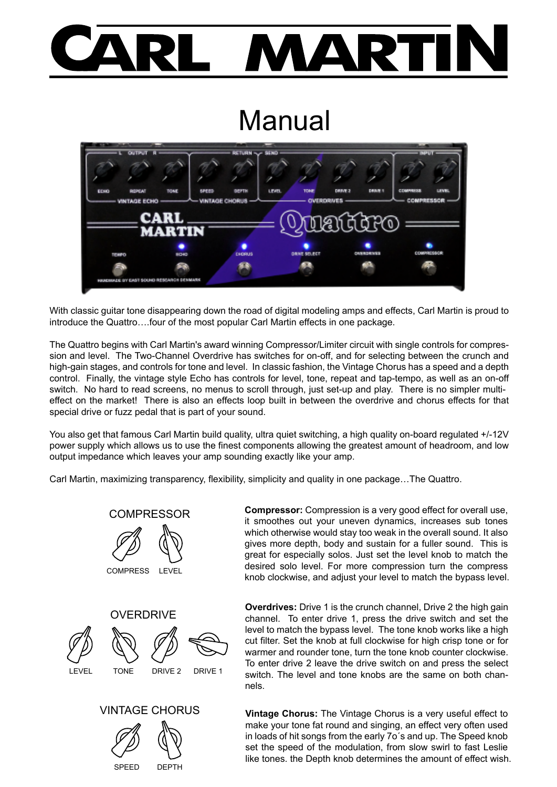## **AART**

## **Manual**



With classic guitar tone disappearing down the road of digital modeling amps and effects, Carl Martin is proud to introduce the Quattro….four of the most popular Carl Martin effects in one package.

The Quattro begins with Carl Martin's award winning Compressor/Limiter circuit with single controls for compression and level. The Two-Channel Overdrive has switches for on-off, and for selecting between the crunch and high-gain stages, and controls for tone and level. In classic fashion, the Vintage Chorus has a speed and a depth control. Finally, the vintage style Echo has controls for level, tone, repeat and tap-tempo, as well as an on-off switch. No hard to read screens, no menus to scroll through, just set-up and play. There is no simpler multieffect on the market! There is also an effects loop built in between the overdrive and chorus effects for that special drive or fuzz pedal that is part of your sound.

You also get that famous Carl Martin build quality, ultra quiet switching, a high quality on-board regulated +/-12V power supply which allows us to use the finest components allowing the greatest amount of headroom, and low output impedance which leaves your amp sounding exactly like your amp.

Carl Martin, maximizing transparency, flexibility, simplicity and quality in one package…The Quattro.



**Compressor:** Compression is a very good effect for overall use, it smoothes out your uneven dynamics, increases sub tones which otherwise would stay too weak in the overall sound. It also gives more depth, body and sustain for a fuller sound. This is great for especially solos. Just set the level knob to match the desired solo level. For more compression turn the compress knob clockwise, and adjust your level to match the bypass level.

**Overdrives:** Drive 1 is the crunch channel, Drive 2 the high gain channel. To enter drive 1, press the drive switch and set the level to match the bypass level. The tone knob works like a high cut filter. Set the knob at full clockwise for high crisp tone or for warmer and rounder tone, turn the tone knob counter clockwise. To enter drive 2 leave the drive switch on and press the select switch. The level and tone knobs are the same on both channels.

**Vintage Chorus:** The Vintage Chorus is a very useful effect to make your tone fat round and singing, an effect very often used in loads of hit songs from the early 7o´s and up. The Speed knob set the speed of the modulation, from slow swirl to fast Leslie like tones. the Depth knob determines the amount of effect wish.